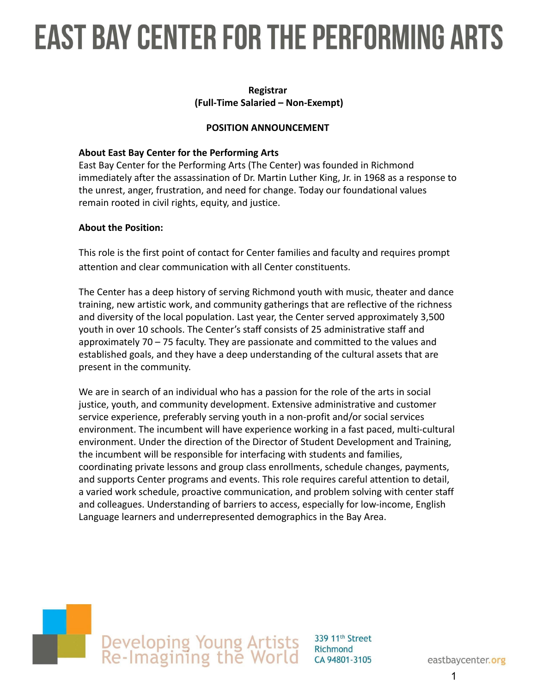### **EAST BAY CENTER FOR THE PERFORMING ARTS**

#### **Registrar (Full-Time Salaried – Non-Exempt)**

#### **POSITION ANNOUNCEMENT**

#### **About East Bay Center for the Performing Arts**

East Bay Center for the Performing Arts (The Center) was founded in Richmond immediately after the assassination of Dr. Martin Luther King, Jr. in 1968 as a response to the unrest, anger, frustration, and need for change. Today our foundational values remain rooted in civil rights, equity, and justice.

#### **About the Position:**

This role is the first point of contact for Center families and faculty and requires prompt attention and clear communication with all Center constituents.

The Center has a deep history of serving Richmond youth with music, theater and dance training, new artistic work, and community gatherings that are reflective of the richness and diversity of the local population. Last year, the Center served approximately 3,500 youth in over 10 schools. The Center's staff consists of 25 administrative staff and approximately 70 – 75 faculty. They are passionate and committed to the values and established goals, and they have a deep understanding of the cultural assets that are present in the community.

We are in search of an individual who has a passion for the role of the arts in social justice, youth, and community development. Extensive administrative and customer service experience, preferably serving youth in a non-profit and/or social services environment. The incumbent will have experience working in a fast paced, multi-cultural environment. Under the direction of the Director of Student Development and Training, the incumbent will be responsible for interfacing with students and families, coordinating private lessons and group class enrollments, schedule changes, payments, and supports Center programs and events. This role requires careful attention to detail, a varied work schedule, proactive communication, and problem solving with center staff and colleagues. Understanding of barriers to access, especially for low-income, English Language learners and underrepresented demographics in the Bay Area.

# Developing Young Artists<br>Re-Imagining the World

339 11<sup>th</sup> Street Richmond CA 94801-3105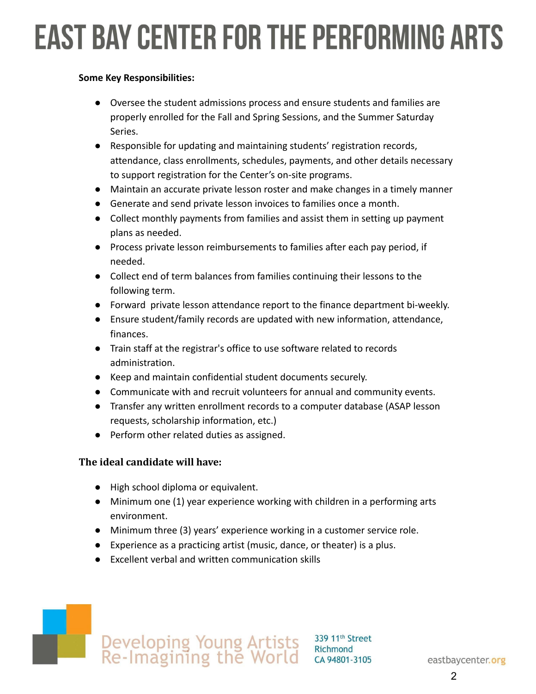### **EAST BAY CENTER FOR THE PERFORMING ARTS**

#### **Some Key Responsibilities:**

- Oversee the student admissions process and ensure students and families are properly enrolled for the Fall and Spring Sessions, and the Summer Saturday Series.
- Responsible for updating and maintaining students' registration records, attendance, class enrollments, schedules, payments, and other details necessary to support registration for the Center's on-site programs.
- Maintain an accurate private lesson roster and make changes in a timely manner
- Generate and send private lesson invoices to families once a month.
- Collect monthly payments from families and assist them in setting up payment plans as needed.
- Process private lesson reimbursements to families after each pay period, if needed.
- Collect end of term balances from families continuing their lessons to the following term.
- Forward private lesson attendance report to the finance department bi-weekly.
- Ensure student/family records are updated with new information, attendance, finances.
- Train staff at the registrar's office to use software related to records administration.
- Keep and maintain confidential student documents securely.
- Communicate with and recruit volunteers for annual and community events.
- Transfer any written enrollment records to a computer database (ASAP lesson requests, scholarship information, etc.)
- Perform other related duties as assigned.

#### **The ideal candidate will have:**

- High school diploma or equivalent.
- Minimum one (1) year experience working with children in a performing arts environment.

339 11th Street Richmond CA 94801-3105

- Minimum three (3) years' experience working in a customer service role.
- Experience as a practicing artist (music, dance, or theater) is a plus.
- Excellent verbal and written communication skills